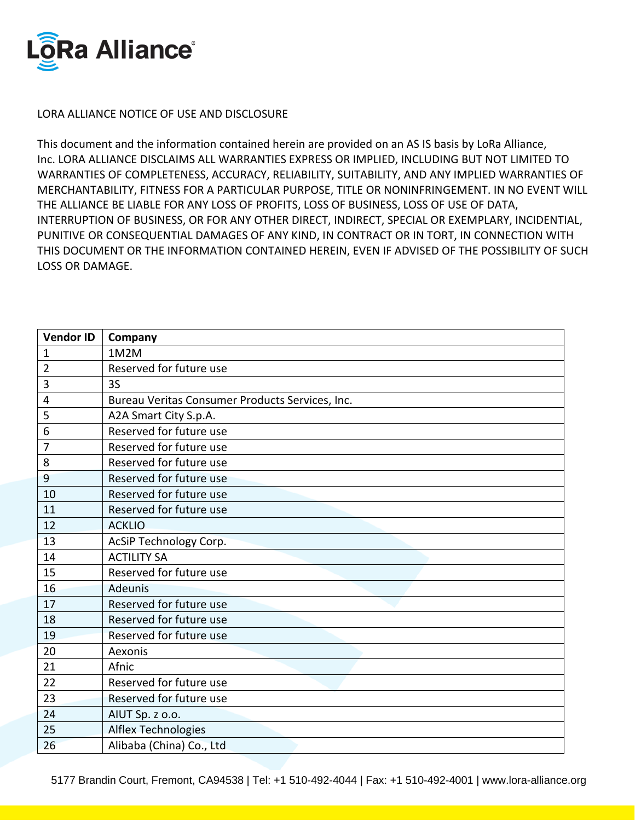

## LORA ALLIANCE NOTICE OF USE AND DISCLOSURE

This document and the information contained herein are provided on an AS IS basis by LoRa Alliance, Inc. LORA ALLIANCE DISCLAIMS ALL WARRANTIES EXPRESS OR IMPLIED, INCLUDING BUT NOT LIMITED TO WARRANTIES OF COMPLETENESS, ACCURACY, RELIABILITY, SUITABILITY, AND ANY IMPLIED WARRANTIES OF MERCHANTABILITY, FITNESS FOR A PARTICULAR PURPOSE, TITLE OR NONINFRINGEMENT. IN NO EVENT WILL THE ALLIANCE BE LIABLE FOR ANY LOSS OF PROFITS, LOSS OF BUSINESS, LOSS OF USE OF DATA, INTERRUPTION OF BUSINESS, OR FOR ANY OTHER DIRECT, INDIRECT, SPECIAL OR EXEMPLARY, INCIDENTIAL, PUNITIVE OR CONSEQUENTIAL DAMAGES OF ANY KIND, IN CONTRACT OR IN TORT, IN CONNECTION WITH THIS DOCUMENT OR THE INFORMATION CONTAINED HEREIN, EVEN IF ADVISED OF THE POSSIBILITY OF SUCH LOSS OR DAMAGE.

| <b>Vendor ID</b> | Company                                         |
|------------------|-------------------------------------------------|
| 1                | 1M2M                                            |
| 2                | Reserved for future use                         |
| 3                | 3S                                              |
| 4                | Bureau Veritas Consumer Products Services, Inc. |
| 5                | A2A Smart City S.p.A.                           |
| 6                | Reserved for future use                         |
| 7                | Reserved for future use                         |
| 8                | Reserved for future use                         |
| 9                | Reserved for future use                         |
| 10               | Reserved for future use                         |
| 11               | Reserved for future use                         |
| 12               | <b>ACKLIO</b>                                   |
| 13               | AcSiP Technology Corp.                          |
| 14               | <b>ACTILITY SA</b>                              |
| 15               | Reserved for future use                         |
| 16               | Adeunis                                         |
| 17               | Reserved for future use                         |
| 18               | Reserved for future use                         |
| 19               | Reserved for future use                         |
| 20               | Aexonis                                         |
| 21               | Afnic                                           |
| 22               | Reserved for future use                         |
| 23               | Reserved for future use                         |
| 24               | AIUT Sp. z o.o.                                 |
| 25               | <b>Alflex Technologies</b>                      |
| 26               | Alibaba (China) Co., Ltd                        |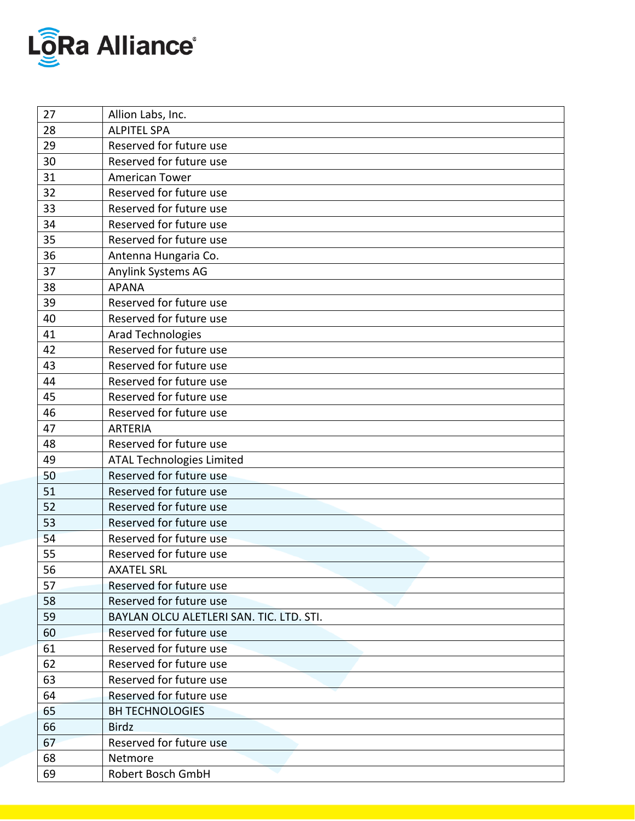

| 27 | Allion Labs, Inc.                        |
|----|------------------------------------------|
| 28 | <b>ALPITEL SPA</b>                       |
| 29 | Reserved for future use                  |
| 30 | Reserved for future use                  |
| 31 | <b>American Tower</b>                    |
| 32 | Reserved for future use                  |
| 33 | Reserved for future use                  |
| 34 | Reserved for future use                  |
| 35 | Reserved for future use                  |
| 36 | Antenna Hungaria Co.                     |
| 37 | Anylink Systems AG                       |
| 38 | <b>APANA</b>                             |
| 39 | Reserved for future use                  |
| 40 | Reserved for future use                  |
| 41 | <b>Arad Technologies</b>                 |
| 42 | Reserved for future use                  |
| 43 | Reserved for future use                  |
| 44 | Reserved for future use                  |
| 45 | Reserved for future use                  |
| 46 | Reserved for future use                  |
| 47 | <b>ARTERIA</b>                           |
| 48 | Reserved for future use                  |
| 49 | <b>ATAL Technologies Limited</b>         |
| 50 | Reserved for future use                  |
| 51 | Reserved for future use                  |
| 52 | Reserved for future use                  |
| 53 | Reserved for future use                  |
| 54 | Reserved for future use                  |
| 55 | Reserved for future use                  |
| 56 | <b>AXATEL SRL</b>                        |
| 57 | Reserved for future use                  |
| 58 | Reserved for future use                  |
| 59 | BAYLAN OLCU ALETLERI SAN. TIC. LTD. STI. |
| 60 | Reserved for future use                  |
| 61 | Reserved for future use                  |
| 62 | Reserved for future use                  |
| 63 | Reserved for future use                  |
| 64 | Reserved for future use                  |
| 65 | <b>BH TECHNOLOGIES</b>                   |
| 66 | <b>Birdz</b>                             |
| 67 | Reserved for future use                  |
| 68 | Netmore                                  |
| 69 | Robert Bosch GmbH                        |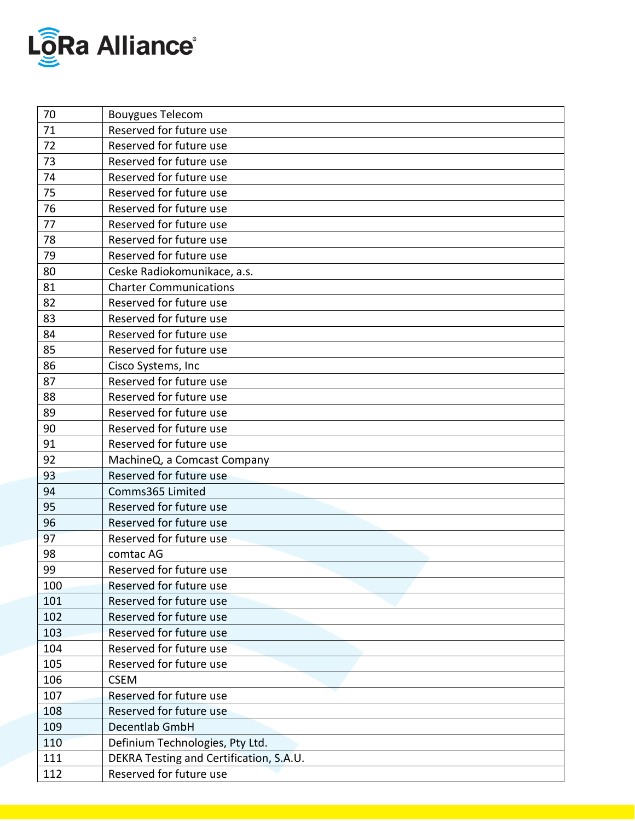

| 70  | <b>Bouygues Telecom</b>                 |
|-----|-----------------------------------------|
| 71  | Reserved for future use                 |
| 72  | Reserved for future use                 |
| 73  | Reserved for future use                 |
| 74  | Reserved for future use                 |
| 75  | Reserved for future use                 |
| 76  | Reserved for future use                 |
| 77  | Reserved for future use                 |
| 78  | Reserved for future use                 |
| 79  | Reserved for future use                 |
| 80  | Ceske Radiokomunikace, a.s.             |
| 81  | <b>Charter Communications</b>           |
| 82  | Reserved for future use                 |
| 83  | Reserved for future use                 |
| 84  | Reserved for future use                 |
| 85  | Reserved for future use                 |
| 86  | Cisco Systems, Inc                      |
| 87  | Reserved for future use                 |
| 88  | Reserved for future use                 |
| 89  | Reserved for future use                 |
| 90  | Reserved for future use                 |
| 91  | Reserved for future use                 |
| 92  | MachineQ, a Comcast Company             |
| 93  | Reserved for future use                 |
| 94  | Comms365 Limited                        |
| 95  | Reserved for future use                 |
| 96  | Reserved for future use                 |
| 97  | Reserved for future use                 |
| 98  | comtac AG                               |
| 99  | Reserved for future use                 |
| 100 | Reserved for future use                 |
| 101 | Reserved for future use                 |
| 102 | Reserved for future use                 |
| 103 | Reserved for future use                 |
| 104 | Reserved for future use                 |
| 105 | Reserved for future use                 |
| 106 | <b>CSEM</b>                             |
| 107 | Reserved for future use                 |
| 108 | Reserved for future use                 |
| 109 | Decentlab GmbH                          |
| 110 | Definium Technologies, Pty Ltd.         |
| 111 | DEKRA Testing and Certification, S.A.U. |
| 112 | Reserved for future use                 |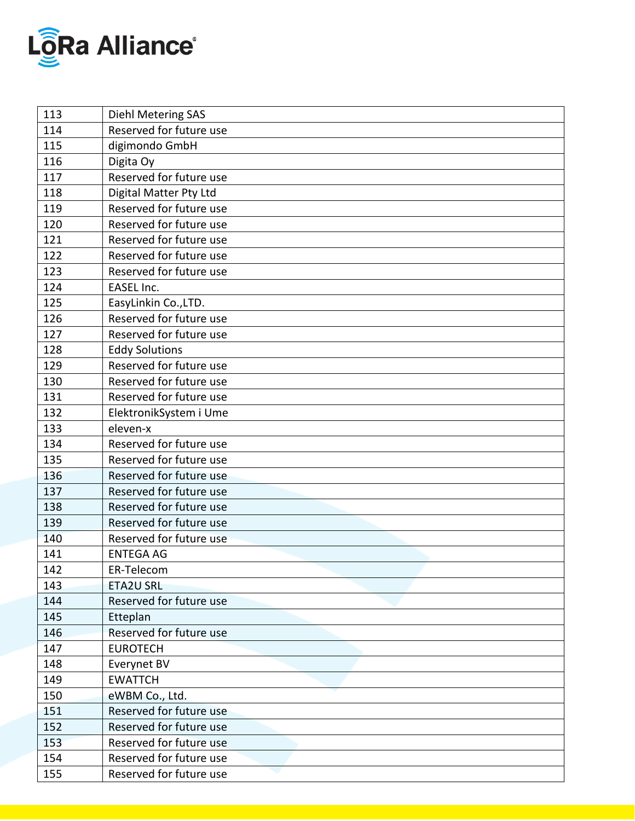

| 113 | Diehl Metering SAS      |
|-----|-------------------------|
| 114 | Reserved for future use |
| 115 | digimondo GmbH          |
| 116 | Digita Oy               |
| 117 | Reserved for future use |
| 118 | Digital Matter Pty Ltd  |
| 119 | Reserved for future use |
| 120 | Reserved for future use |
| 121 | Reserved for future use |
| 122 | Reserved for future use |
| 123 | Reserved for future use |
| 124 | <b>EASEL Inc.</b>       |
| 125 | EasyLinkin Co., LTD.    |
| 126 | Reserved for future use |
| 127 | Reserved for future use |
| 128 | <b>Eddy Solutions</b>   |
| 129 | Reserved for future use |
| 130 | Reserved for future use |
| 131 | Reserved for future use |
| 132 | ElektronikSystem i Ume  |
| 133 | eleven-x                |
| 134 | Reserved for future use |
| 135 | Reserved for future use |
| 136 | Reserved for future use |
| 137 | Reserved for future use |
| 138 | Reserved for future use |
| 139 | Reserved for future use |
| 140 | Reserved for future use |
| 141 | <b>ENTEGA AG</b>        |
| 142 | ER-Telecom              |
| 143 | <b>ETA2U SRL</b>        |
| 144 | Reserved for future use |
| 145 | Etteplan                |
| 146 | Reserved for future use |
| 147 | <b>EUROTECH</b>         |
| 148 | Everynet BV             |
| 149 | <b>EWATTCH</b>          |
| 150 | eWBM Co., Ltd.          |
| 151 | Reserved for future use |
| 152 | Reserved for future use |
| 153 | Reserved for future use |
| 154 | Reserved for future use |
| 155 | Reserved for future use |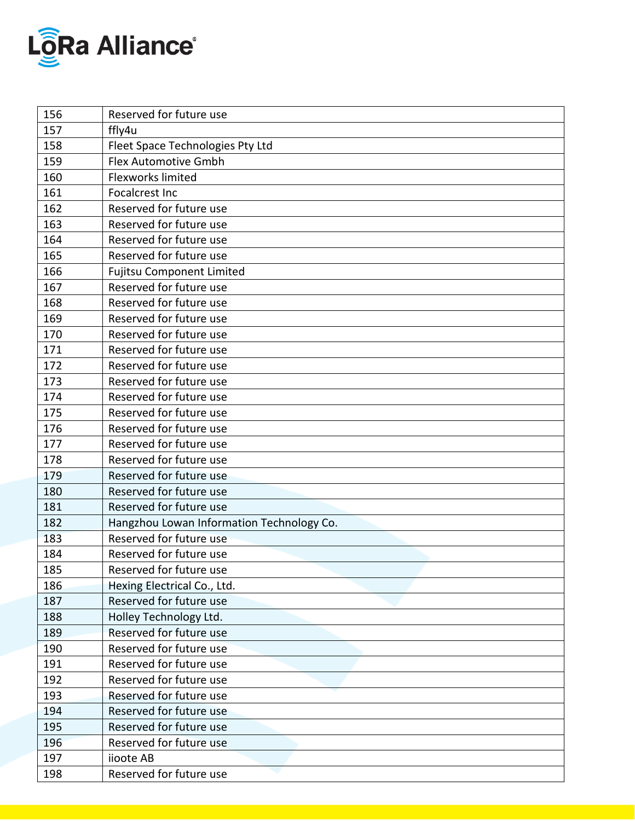

| 156 | Reserved for future use                   |
|-----|-------------------------------------------|
| 157 | ffly4u                                    |
| 158 | Fleet Space Technologies Pty Ltd          |
| 159 | Flex Automotive Gmbh                      |
| 160 | Flexworks limited                         |
| 161 | Focalcrest Inc                            |
| 162 | Reserved for future use                   |
| 163 | Reserved for future use                   |
| 164 | Reserved for future use                   |
| 165 | Reserved for future use                   |
| 166 | <b>Fujitsu Component Limited</b>          |
| 167 | Reserved for future use                   |
| 168 | Reserved for future use                   |
| 169 | Reserved for future use                   |
| 170 | Reserved for future use                   |
| 171 | Reserved for future use                   |
| 172 | Reserved for future use                   |
| 173 | Reserved for future use                   |
| 174 | Reserved for future use                   |
| 175 | Reserved for future use                   |
| 176 | Reserved for future use                   |
| 177 | Reserved for future use                   |
| 178 | Reserved for future use                   |
| 179 | Reserved for future use                   |
| 180 | Reserved for future use                   |
| 181 | Reserved for future use                   |
| 182 | Hangzhou Lowan Information Technology Co. |
| 183 | Reserved for future use                   |
| 184 | Reserved for future use                   |
| 185 | Reserved for future use                   |
| 186 | Hexing Electrical Co., Ltd.               |
| 187 | Reserved for future use                   |
| 188 | Holley Technology Ltd.                    |
| 189 | Reserved for future use                   |
| 190 | Reserved for future use                   |
| 191 | Reserved for future use                   |
| 192 | Reserved for future use                   |
| 193 | Reserved for future use                   |
| 194 | Reserved for future use                   |
| 195 | Reserved for future use                   |
| 196 | Reserved for future use                   |
| 197 | iioote AB                                 |
| 198 | Reserved for future use                   |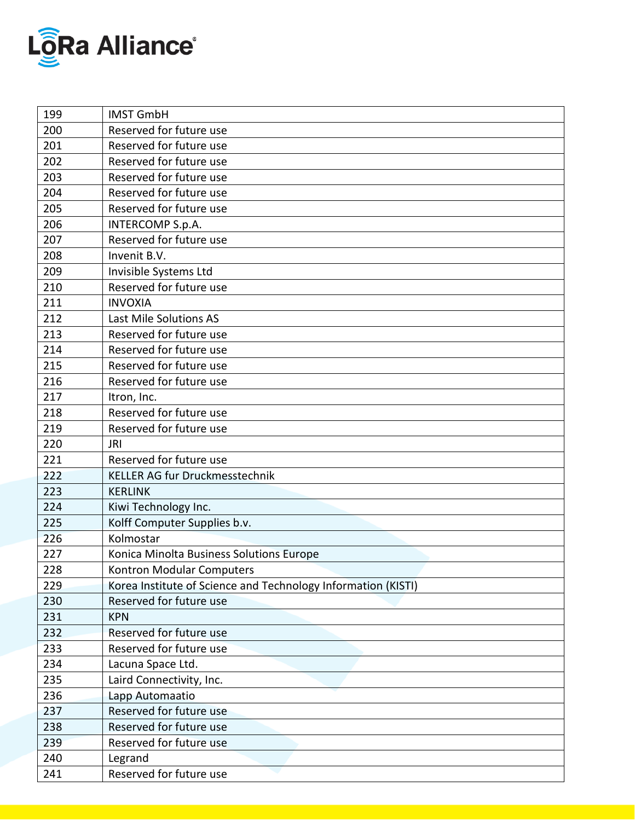

| 199 | <b>IMST GmbH</b>                                              |
|-----|---------------------------------------------------------------|
| 200 | Reserved for future use                                       |
| 201 | Reserved for future use                                       |
| 202 | Reserved for future use                                       |
| 203 | Reserved for future use                                       |
| 204 | Reserved for future use                                       |
| 205 | Reserved for future use                                       |
| 206 | INTERCOMP S.p.A.                                              |
| 207 | Reserved for future use                                       |
| 208 | Invenit B.V.                                                  |
| 209 | Invisible Systems Ltd                                         |
| 210 | Reserved for future use                                       |
| 211 | <b>INVOXIA</b>                                                |
| 212 | Last Mile Solutions AS                                        |
| 213 | Reserved for future use                                       |
| 214 | Reserved for future use                                       |
| 215 | Reserved for future use                                       |
| 216 | Reserved for future use                                       |
| 217 | Itron, Inc.                                                   |
| 218 | Reserved for future use                                       |
| 219 | Reserved for future use                                       |
| 220 | <b>JRI</b>                                                    |
| 221 | Reserved for future use                                       |
| 222 | <b>KELLER AG fur Druckmesstechnik</b>                         |
| 223 | <b>KERLINK</b>                                                |
| 224 | Kiwi Technology Inc.                                          |
| 225 | Kolff Computer Supplies b.v.                                  |
| 226 | Kolmostar                                                     |
| 227 | Konica Minolta Business Solutions Europe                      |
| 228 | Kontron Modular Computers                                     |
| 229 | Korea Institute of Science and Technology Information (KISTI) |
| 230 | Reserved for future use                                       |
| 231 | <b>KPN</b>                                                    |
| 232 | Reserved for future use                                       |
| 233 | Reserved for future use                                       |
| 234 | Lacuna Space Ltd.                                             |
| 235 | Laird Connectivity, Inc.                                      |
| 236 | Lapp Automaatio                                               |
| 237 | Reserved for future use                                       |
| 238 | Reserved for future use                                       |
| 239 | Reserved for future use                                       |
| 240 | Legrand                                                       |
| 241 | Reserved for future use                                       |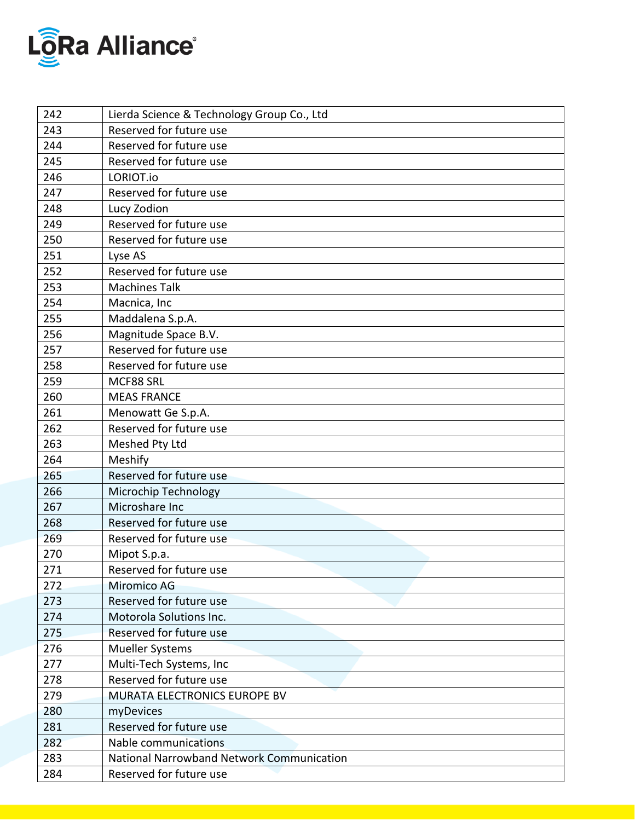

| 242 | Lierda Science & Technology Group Co., Ltd       |
|-----|--------------------------------------------------|
| 243 | Reserved for future use                          |
| 244 | Reserved for future use                          |
| 245 | Reserved for future use                          |
| 246 | LORIOT.io                                        |
| 247 | Reserved for future use                          |
| 248 | Lucy Zodion                                      |
| 249 | Reserved for future use                          |
| 250 | Reserved for future use                          |
| 251 | Lyse AS                                          |
| 252 | Reserved for future use                          |
| 253 | <b>Machines Talk</b>                             |
| 254 | Macnica, Inc                                     |
| 255 | Maddalena S.p.A.                                 |
| 256 | Magnitude Space B.V.                             |
| 257 | Reserved for future use                          |
| 258 | Reserved for future use                          |
| 259 | MCF88 SRL                                        |
| 260 | <b>MEAS FRANCE</b>                               |
| 261 | Menowatt Ge S.p.A.                               |
| 262 | Reserved for future use                          |
| 263 | Meshed Pty Ltd                                   |
| 264 | Meshify                                          |
| 265 | Reserved for future use                          |
| 266 | Microchip Technology                             |
| 267 | Microshare Inc                                   |
| 268 | Reserved for future use                          |
| 269 | Reserved for future use                          |
| 270 | Mipot S.p.a.                                     |
| 271 | Reserved for future use                          |
| 272 | <b>Miromico AG</b>                               |
| 273 | Reserved for future use                          |
| 274 | Motorola Solutions Inc.                          |
| 275 | Reserved for future use                          |
| 276 | <b>Mueller Systems</b>                           |
| 277 | Multi-Tech Systems, Inc                          |
| 278 | Reserved for future use                          |
| 279 | MURATA ELECTRONICS EUROPE BV                     |
| 280 | myDevices                                        |
| 281 | Reserved for future use                          |
| 282 | Nable communications                             |
| 283 | <b>National Narrowband Network Communication</b> |
| 284 | Reserved for future use                          |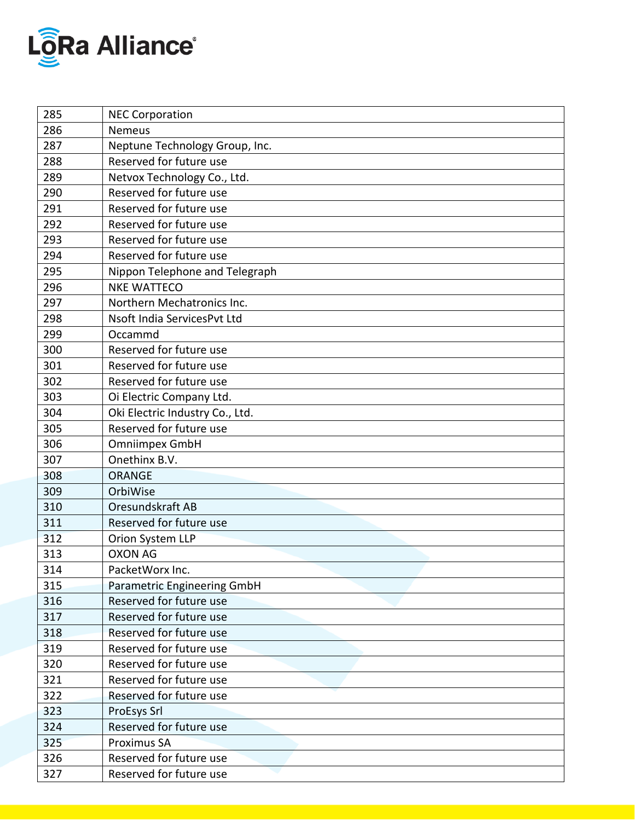

| 285 | <b>NEC Corporation</b>          |
|-----|---------------------------------|
| 286 | <b>Nemeus</b>                   |
| 287 | Neptune Technology Group, Inc.  |
| 288 | Reserved for future use         |
| 289 | Netvox Technology Co., Ltd.     |
| 290 | Reserved for future use         |
| 291 | Reserved for future use         |
| 292 | Reserved for future use         |
| 293 | Reserved for future use         |
| 294 | Reserved for future use         |
| 295 | Nippon Telephone and Telegraph  |
| 296 | <b>NKE WATTECO</b>              |
| 297 | Northern Mechatronics Inc.      |
| 298 | Nsoft India ServicesPvt Ltd     |
| 299 | Occammd                         |
| 300 | Reserved for future use         |
| 301 | Reserved for future use         |
| 302 | Reserved for future use         |
| 303 | Oi Electric Company Ltd.        |
| 304 | Oki Electric Industry Co., Ltd. |
| 305 | Reserved for future use         |
| 306 | Omniimpex GmbH                  |
| 307 | Onethinx B.V.                   |
| 308 | <b>ORANGE</b>                   |
| 309 | OrbiWise                        |
| 310 | Oresundskraft AB                |
| 311 | Reserved for future use         |
| 312 | Orion System LLP                |
| 313 | <b>OXON AG</b>                  |
| 314 | PacketWorx Inc.                 |
| 315 | Parametric Engineering GmbH     |
| 316 | Reserved for future use         |
| 317 | Reserved for future use         |
| 318 | Reserved for future use         |
| 319 | Reserved for future use         |
| 320 | Reserved for future use         |
| 321 | Reserved for future use         |
| 322 | Reserved for future use         |
| 323 | ProEsys Srl                     |
| 324 | Reserved for future use         |
| 325 | <b>Proximus SA</b>              |
| 326 | Reserved for future use         |
| 327 | Reserved for future use         |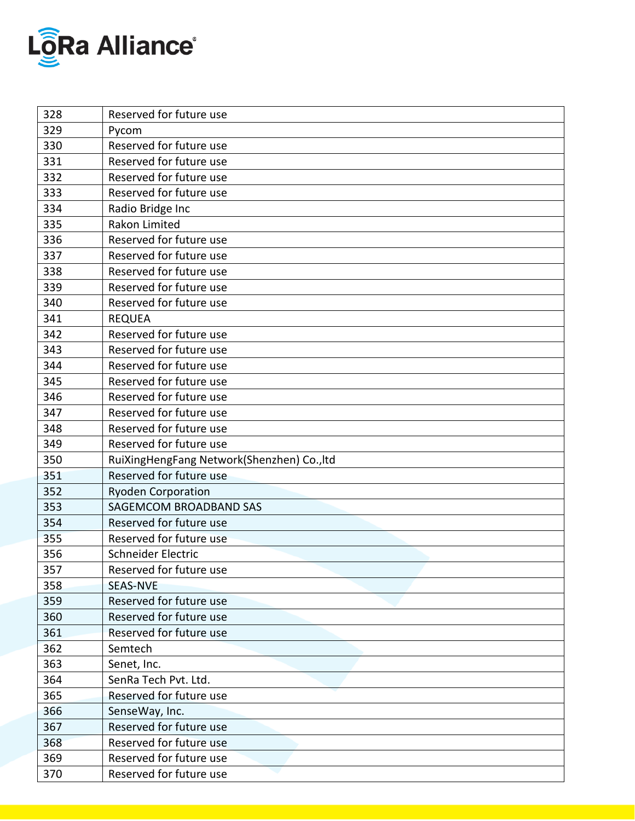

| 328 | Reserved for future use                    |
|-----|--------------------------------------------|
| 329 | Pycom                                      |
| 330 | Reserved for future use                    |
| 331 | Reserved for future use                    |
| 332 | Reserved for future use                    |
| 333 | Reserved for future use                    |
| 334 | Radio Bridge Inc                           |
| 335 | Rakon Limited                              |
| 336 | Reserved for future use                    |
| 337 | Reserved for future use                    |
| 338 | Reserved for future use                    |
| 339 | Reserved for future use                    |
| 340 | Reserved for future use                    |
| 341 | <b>REQUEA</b>                              |
| 342 | Reserved for future use                    |
| 343 | Reserved for future use                    |
| 344 | Reserved for future use                    |
| 345 | Reserved for future use                    |
| 346 | Reserved for future use                    |
| 347 | Reserved for future use                    |
| 348 | Reserved for future use                    |
| 349 | Reserved for future use                    |
| 350 | RuiXingHengFang Network(Shenzhen) Co., Itd |
| 351 | Reserved for future use                    |
| 352 | <b>Ryoden Corporation</b>                  |
| 353 | SAGEMCOM BROADBAND SAS                     |
| 354 | Reserved for future use                    |
| 355 | Reserved for future use                    |
| 356 | Schneider Electric                         |
| 357 | Reserved for future use                    |
| 358 | <b>SEAS-NVE</b>                            |
| 359 | Reserved for future use                    |
| 360 | Reserved for future use                    |
| 361 | Reserved for future use                    |
| 362 | Semtech                                    |
| 363 | Senet, Inc.                                |
| 364 | SenRa Tech Pvt. Ltd.                       |
| 365 | Reserved for future use                    |
| 366 | SenseWay, Inc.                             |
| 367 | Reserved for future use                    |
| 368 | Reserved for future use                    |
| 369 | Reserved for future use                    |
| 370 | Reserved for future use                    |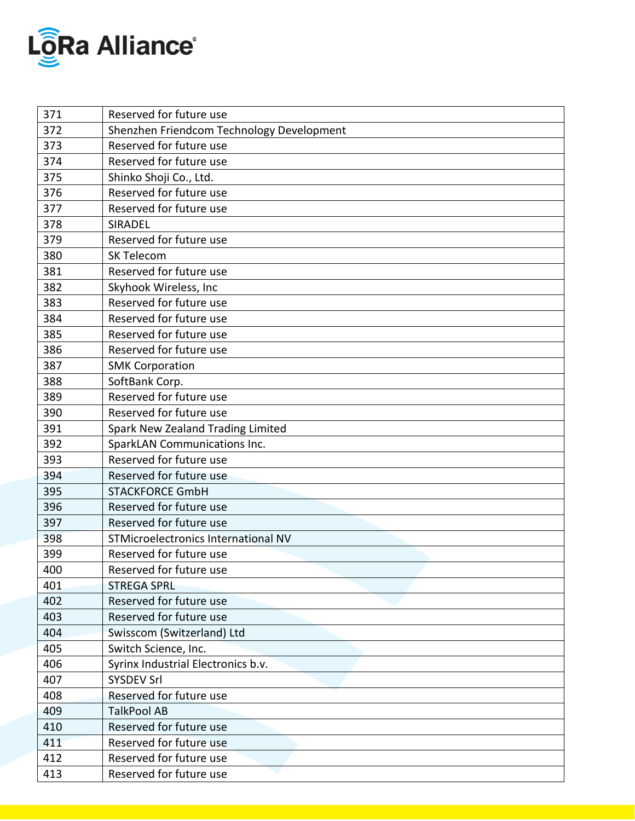

| 371 | Reserved for future use                   |
|-----|-------------------------------------------|
| 372 | Shenzhen Friendcom Technology Development |
| 373 | Reserved for future use                   |
| 374 | Reserved for future use                   |
| 375 | Shinko Shoji Co., Ltd.                    |
| 376 | Reserved for future use                   |
| 377 | Reserved for future use                   |
| 378 | <b>SIRADEL</b>                            |
| 379 | Reserved for future use                   |
| 380 | <b>SK Telecom</b>                         |
| 381 | Reserved for future use                   |
| 382 | Skyhook Wireless, Inc                     |
| 383 | Reserved for future use                   |
| 384 | Reserved for future use                   |
| 385 | Reserved for future use                   |
| 386 | Reserved for future use                   |
| 387 | <b>SMK Corporation</b>                    |
| 388 | SoftBank Corp.                            |
| 389 | Reserved for future use                   |
| 390 | Reserved for future use                   |
| 391 | Spark New Zealand Trading Limited         |
| 392 | SparkLAN Communications Inc.              |
| 393 | Reserved for future use                   |
| 394 | Reserved for future use                   |
| 395 | <b>STACKFORCE GmbH</b>                    |
| 396 | Reserved for future use                   |
| 397 | Reserved for future use                   |
| 398 | STMicroelectronics International NV       |
| 399 | Reserved for future use                   |
| 400 | Reserved for future use                   |
| 401 | <b>STREGA SPRL</b>                        |
| 402 | Reserved for future use                   |
| 403 | Reserved for future use                   |
| 404 | Swisscom (Switzerland) Ltd                |
| 405 | Switch Science, Inc.                      |
| 406 | Syrinx Industrial Electronics b.v.        |
| 407 | <b>SYSDEV Srl</b>                         |
| 408 | Reserved for future use                   |
| 409 | <b>TalkPool AB</b>                        |
| 410 | Reserved for future use                   |
| 411 | Reserved for future use                   |
| 412 | Reserved for future use                   |
| 413 | Reserved for future use                   |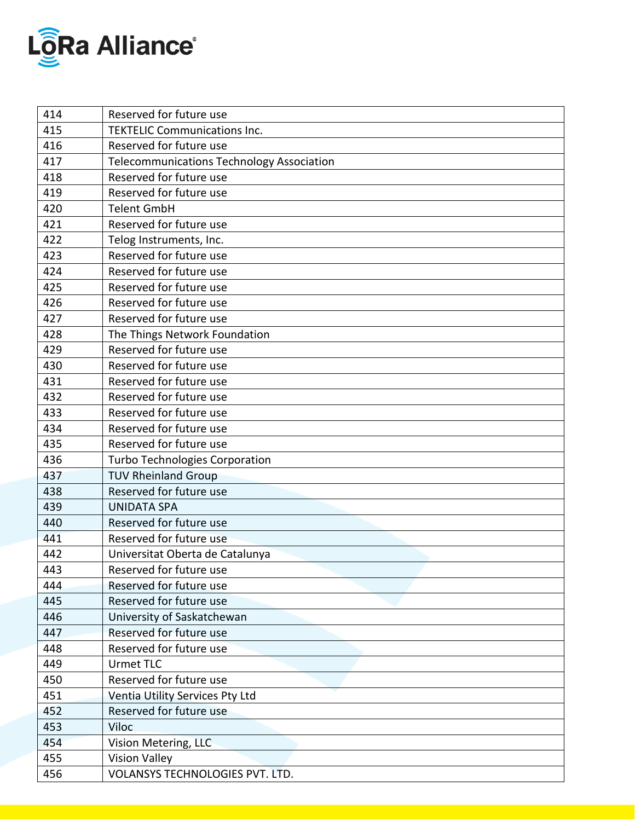

| 414 | Reserved for future use                          |
|-----|--------------------------------------------------|
| 415 | <b>TEKTELIC Communications Inc.</b>              |
| 416 | Reserved for future use                          |
| 417 | <b>Telecommunications Technology Association</b> |
| 418 | Reserved for future use                          |
| 419 | Reserved for future use                          |
| 420 | <b>Telent GmbH</b>                               |
| 421 | Reserved for future use                          |
| 422 | Telog Instruments, Inc.                          |
| 423 | Reserved for future use                          |
| 424 | Reserved for future use                          |
| 425 | Reserved for future use                          |
| 426 | Reserved for future use                          |
| 427 | Reserved for future use                          |
| 428 | The Things Network Foundation                    |
| 429 | Reserved for future use                          |
| 430 | Reserved for future use                          |
| 431 | Reserved for future use                          |
| 432 | Reserved for future use                          |
| 433 | Reserved for future use                          |
| 434 | Reserved for future use                          |
| 435 | Reserved for future use                          |
| 436 | <b>Turbo Technologies Corporation</b>            |
| 437 | <b>TUV Rheinland Group</b>                       |
| 438 | Reserved for future use                          |
| 439 | <b>UNIDATA SPA</b>                               |
| 440 | Reserved for future use                          |
| 441 | Reserved for future use                          |
| 442 | Universitat Oberta de Catalunya                  |
| 443 | Reserved for future use                          |
| 444 | Reserved for future use                          |
| 445 | Reserved for future use                          |
| 446 | University of Saskatchewan                       |
| 447 | Reserved for future use                          |
| 448 | Reserved for future use                          |
| 449 | <b>Urmet TLC</b>                                 |
| 450 | Reserved for future use                          |
| 451 | Ventia Utility Services Pty Ltd                  |
| 452 | Reserved for future use                          |
| 453 | <b>Viloc</b>                                     |
| 454 | Vision Metering, LLC                             |
| 455 | <b>Vision Valley</b>                             |
| 456 | VOLANSYS TECHNOLOGIES PVT. LTD.                  |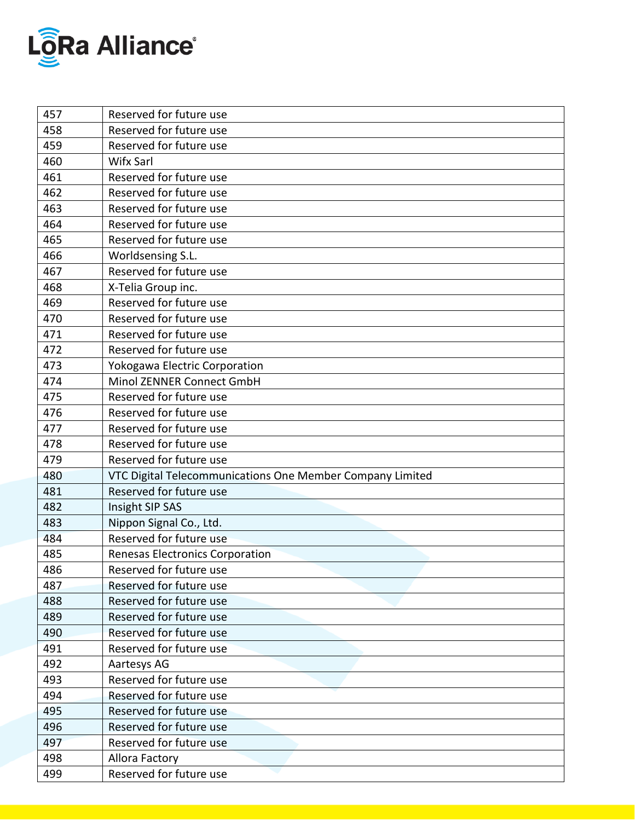

| 457 | Reserved for future use                                   |
|-----|-----------------------------------------------------------|
| 458 | Reserved for future use                                   |
| 459 | Reserved for future use                                   |
| 460 | Wifx Sarl                                                 |
| 461 | Reserved for future use                                   |
| 462 | Reserved for future use                                   |
| 463 | Reserved for future use                                   |
| 464 | Reserved for future use                                   |
| 465 | Reserved for future use                                   |
| 466 | Worldsensing S.L.                                         |
| 467 | Reserved for future use                                   |
| 468 | X-Telia Group inc.                                        |
| 469 | Reserved for future use                                   |
| 470 | Reserved for future use                                   |
| 471 | Reserved for future use                                   |
| 472 | Reserved for future use                                   |
| 473 | Yokogawa Electric Corporation                             |
| 474 | Minol ZENNER Connect GmbH                                 |
| 475 | Reserved for future use                                   |
| 476 | Reserved for future use                                   |
| 477 | Reserved for future use                                   |
| 478 | Reserved for future use                                   |
| 479 | Reserved for future use                                   |
| 480 | VTC Digital Telecommunications One Member Company Limited |
| 481 | Reserved for future use                                   |
| 482 | Insight SIP SAS                                           |
| 483 | Nippon Signal Co., Ltd.                                   |
| 484 | Reserved for future use                                   |
| 485 | <b>Renesas Electronics Corporation</b>                    |
| 486 | Reserved for future use                                   |
| 487 | Reserved for future use                                   |
| 488 | Reserved for future use                                   |
| 489 | Reserved for future use                                   |
| 490 | Reserved for future use                                   |
| 491 | Reserved for future use                                   |
| 492 | Aartesys AG                                               |
| 493 | Reserved for future use                                   |
| 494 | Reserved for future use                                   |
| 495 | Reserved for future use                                   |
| 496 | Reserved for future use                                   |
| 497 | Reserved for future use                                   |
| 498 | Allora Factory                                            |
| 499 | Reserved for future use                                   |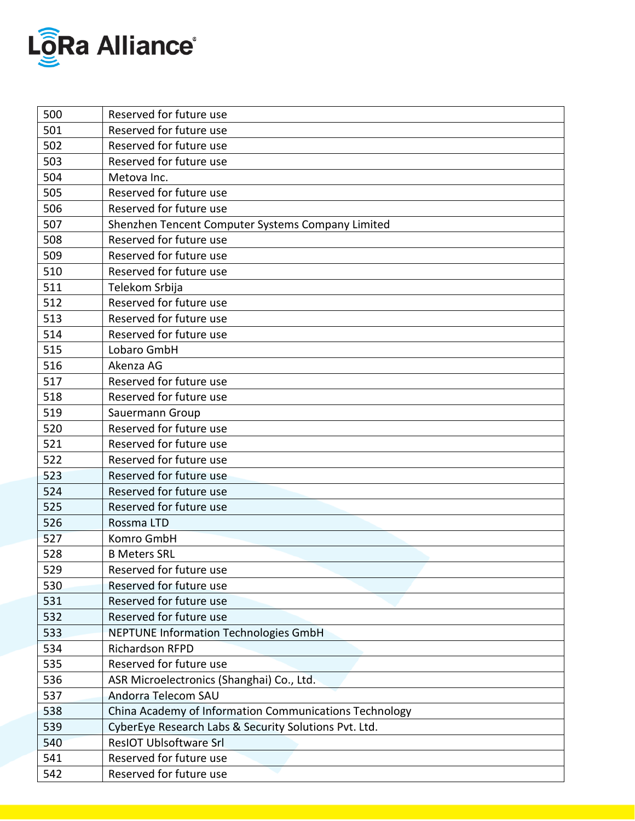

| 500 | Reserved for future use                                |
|-----|--------------------------------------------------------|
| 501 | Reserved for future use                                |
| 502 | Reserved for future use                                |
| 503 | Reserved for future use                                |
| 504 | Metova Inc.                                            |
| 505 | Reserved for future use                                |
| 506 | Reserved for future use                                |
| 507 | Shenzhen Tencent Computer Systems Company Limited      |
| 508 | Reserved for future use                                |
| 509 | Reserved for future use                                |
| 510 | Reserved for future use                                |
| 511 | Telekom Srbija                                         |
| 512 | Reserved for future use                                |
| 513 | Reserved for future use                                |
| 514 | Reserved for future use                                |
| 515 | Lobaro GmbH                                            |
| 516 | Akenza AG                                              |
| 517 | Reserved for future use                                |
| 518 | Reserved for future use                                |
| 519 | Sauermann Group                                        |
| 520 | Reserved for future use                                |
| 521 | Reserved for future use                                |
| 522 | Reserved for future use                                |
| 523 | Reserved for future use                                |
| 524 | Reserved for future use                                |
| 525 | Reserved for future use                                |
| 526 | Rossma LTD                                             |
| 527 | Komro GmbH                                             |
| 528 | <b>B Meters SRL</b>                                    |
| 529 | Reserved for future use                                |
| 530 | Reserved for future use                                |
| 531 | Reserved for future use                                |
| 532 | Reserved for future use                                |
| 533 | <b>NEPTUNE Information Technologies GmbH</b>           |
| 534 | Richardson RFPD                                        |
| 535 | Reserved for future use                                |
| 536 | ASR Microelectronics (Shanghai) Co., Ltd.              |
| 537 | Andorra Telecom SAU                                    |
| 538 | China Academy of Information Communications Technology |
| 539 | CyberEye Research Labs & Security Solutions Pvt. Ltd.  |
| 540 | <b>ResIOT Ublsoftware Srl</b>                          |
| 541 | Reserved for future use                                |
| 542 | Reserved for future use                                |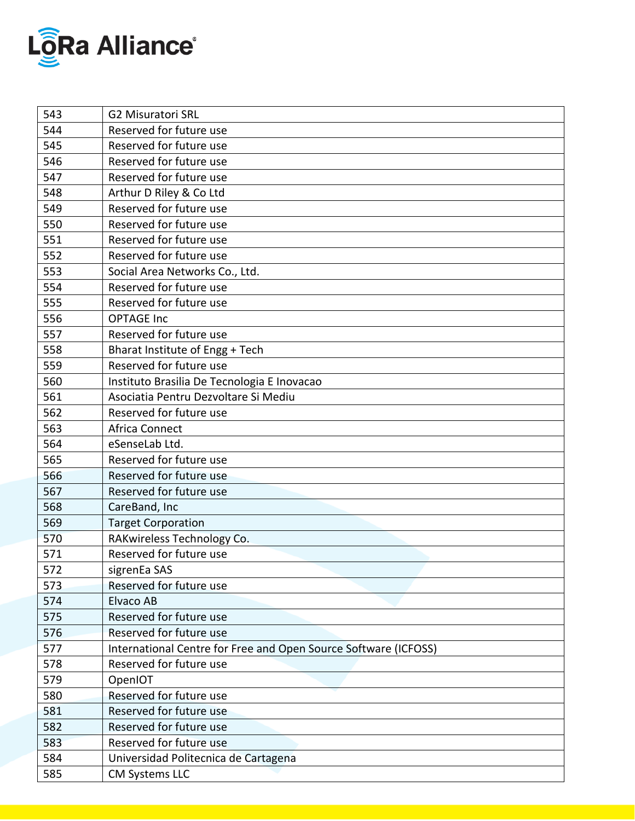

| 543 | <b>G2 Misuratori SRL</b>                                        |
|-----|-----------------------------------------------------------------|
| 544 | Reserved for future use                                         |
| 545 | Reserved for future use                                         |
| 546 | Reserved for future use                                         |
| 547 | Reserved for future use                                         |
| 548 | Arthur D Riley & Co Ltd                                         |
| 549 | Reserved for future use                                         |
| 550 | Reserved for future use                                         |
| 551 | Reserved for future use                                         |
| 552 | Reserved for future use                                         |
| 553 | Social Area Networks Co., Ltd.                                  |
| 554 | Reserved for future use                                         |
| 555 | Reserved for future use                                         |
| 556 | <b>OPTAGE Inc</b>                                               |
| 557 | Reserved for future use                                         |
| 558 | Bharat Institute of Engg + Tech                                 |
| 559 | Reserved for future use                                         |
| 560 | Instituto Brasilia De Tecnologia E Inovacao                     |
| 561 | Asociatia Pentru Dezvoltare Si Mediu                            |
| 562 | Reserved for future use                                         |
| 563 | Africa Connect                                                  |
| 564 | eSenseLab Ltd.                                                  |
| 565 | Reserved for future use                                         |
| 566 | Reserved for future use                                         |
| 567 | Reserved for future use                                         |
| 568 | CareBand, Inc                                                   |
| 569 | <b>Target Corporation</b>                                       |
| 570 | RAKwireless Technology Co.                                      |
| 571 | Reserved for future use                                         |
| 572 | sigrenEa SAS                                                    |
| 573 | Reserved for future use                                         |
| 574 | <b>Elvaco AB</b>                                                |
| 575 | Reserved for future use                                         |
| 576 | Reserved for future use                                         |
| 577 | International Centre for Free and Open Source Software (ICFOSS) |
| 578 | Reserved for future use                                         |
| 579 | OpenIOT                                                         |
| 580 | Reserved for future use                                         |
| 581 | Reserved for future use                                         |
| 582 | Reserved for future use                                         |
| 583 | Reserved for future use                                         |
| 584 | Universidad Politecnica de Cartagena                            |
| 585 | CM Systems LLC                                                  |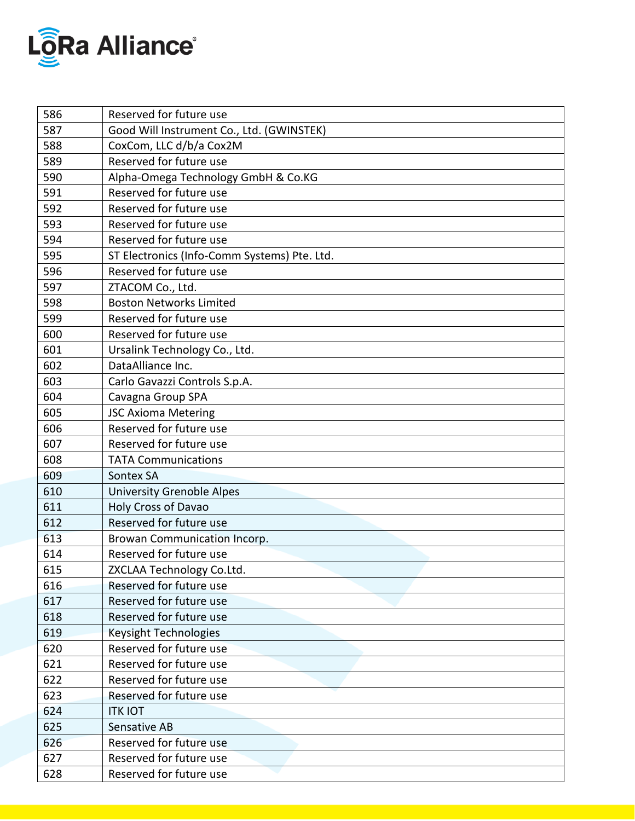

| 586 | Reserved for future use                      |
|-----|----------------------------------------------|
| 587 | Good Will Instrument Co., Ltd. (GWINSTEK)    |
| 588 | CoxCom, LLC d/b/a Cox2M                      |
| 589 | Reserved for future use                      |
| 590 | Alpha-Omega Technology GmbH & Co.KG          |
| 591 | Reserved for future use                      |
| 592 | Reserved for future use                      |
| 593 | Reserved for future use                      |
| 594 | Reserved for future use                      |
| 595 | ST Electronics (Info-Comm Systems) Pte. Ltd. |
| 596 | Reserved for future use                      |
| 597 | ZTACOM Co., Ltd.                             |
| 598 | <b>Boston Networks Limited</b>               |
| 599 | Reserved for future use                      |
| 600 | Reserved for future use                      |
| 601 | Ursalink Technology Co., Ltd.                |
| 602 | DataAlliance Inc.                            |
| 603 | Carlo Gavazzi Controls S.p.A.                |
| 604 | Cavagna Group SPA                            |
| 605 | <b>JSC Axioma Metering</b>                   |
| 606 | Reserved for future use                      |
| 607 | Reserved for future use                      |
| 608 | <b>TATA Communications</b>                   |
| 609 | Sontex SA                                    |
| 610 | <b>University Grenoble Alpes</b>             |
| 611 | Holy Cross of Davao                          |
| 612 | Reserved for future use                      |
| 613 | Browan Communication Incorp.                 |
| 614 | Reserved for future use                      |
| 615 | ZXCLAA Technology Co.Ltd.                    |
| 616 | Reserved for future use                      |
| 617 | Reserved for future use                      |
| 618 | Reserved for future use                      |
| 619 | Keysight Technologies                        |
| 620 | Reserved for future use                      |
| 621 | Reserved for future use                      |
| 622 | Reserved for future use                      |
| 623 | Reserved for future use                      |
| 624 | <b>ITK IOT</b>                               |
| 625 | Sensative AB                                 |
| 626 | Reserved for future use                      |
| 627 | Reserved for future use                      |
| 628 | Reserved for future use                      |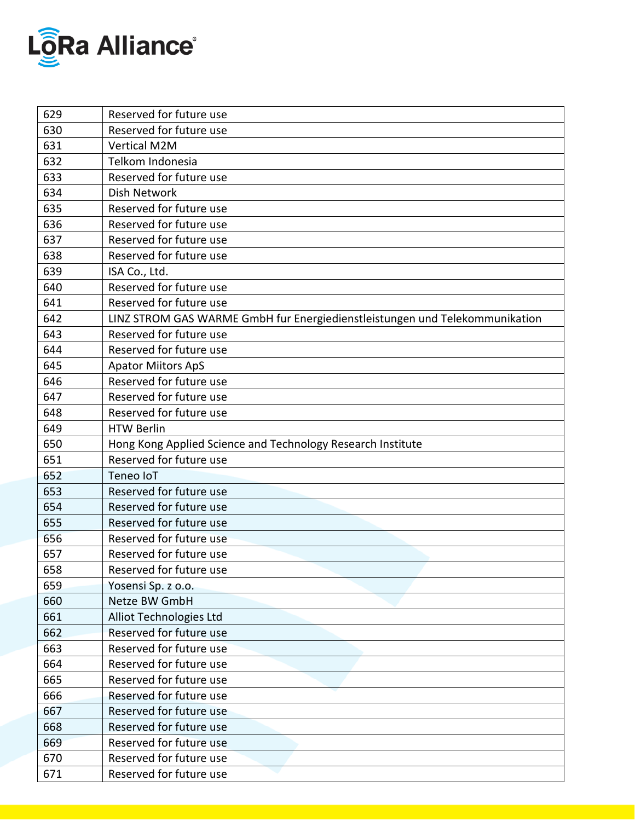

| 629 | Reserved for future use                                                     |
|-----|-----------------------------------------------------------------------------|
| 630 | Reserved for future use                                                     |
| 631 | <b>Vertical M2M</b>                                                         |
| 632 | Telkom Indonesia                                                            |
| 633 | Reserved for future use                                                     |
| 634 | Dish Network                                                                |
| 635 | Reserved for future use                                                     |
| 636 | Reserved for future use                                                     |
| 637 | Reserved for future use                                                     |
| 638 | Reserved for future use                                                     |
| 639 | ISA Co., Ltd.                                                               |
| 640 | Reserved for future use                                                     |
| 641 | Reserved for future use                                                     |
| 642 | LINZ STROM GAS WARME GmbH fur Energiedienstleistungen und Telekommunikation |
| 643 | Reserved for future use                                                     |
| 644 | Reserved for future use                                                     |
| 645 | <b>Apator Miitors ApS</b>                                                   |
| 646 | Reserved for future use                                                     |
| 647 | Reserved for future use                                                     |
| 648 | Reserved for future use                                                     |
| 649 | <b>HTW Berlin</b>                                                           |
| 650 | Hong Kong Applied Science and Technology Research Institute                 |
| 651 | Reserved for future use                                                     |
| 652 | Teneo IoT                                                                   |
| 653 | Reserved for future use                                                     |
| 654 | Reserved for future use                                                     |
| 655 | Reserved for future use                                                     |
| 656 | Reserved for future use                                                     |
| 657 | Reserved for future use                                                     |
| 658 | Reserved for future use                                                     |
| 659 | Yosensi Sp. z o.o.                                                          |
| 660 | Netze BW GmbH                                                               |
| 661 | Alliot Technologies Ltd                                                     |
| 662 | Reserved for future use                                                     |
| 663 | Reserved for future use                                                     |
| 664 | Reserved for future use                                                     |
| 665 | Reserved for future use                                                     |
| 666 | Reserved for future use                                                     |
| 667 | Reserved for future use                                                     |
| 668 | Reserved for future use                                                     |
| 669 | Reserved for future use                                                     |
| 670 | Reserved for future use                                                     |
| 671 | Reserved for future use                                                     |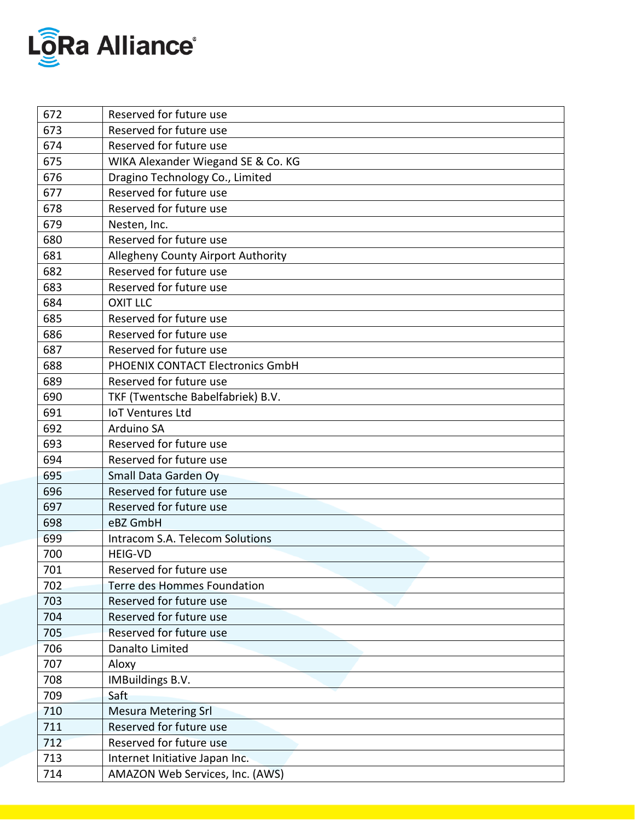

| 672 | Reserved for future use            |
|-----|------------------------------------|
| 673 | Reserved for future use            |
| 674 | Reserved for future use            |
| 675 | WIKA Alexander Wiegand SE & Co. KG |
| 676 | Dragino Technology Co., Limited    |
| 677 | Reserved for future use            |
| 678 | Reserved for future use            |
| 679 | Nesten, Inc.                       |
| 680 | Reserved for future use            |
| 681 | Allegheny County Airport Authority |
| 682 | Reserved for future use            |
| 683 | Reserved for future use            |
| 684 | <b>OXIT LLC</b>                    |
| 685 | Reserved for future use            |
| 686 | Reserved for future use            |
| 687 | Reserved for future use            |
| 688 | PHOENIX CONTACT Electronics GmbH   |
| 689 | Reserved for future use            |
| 690 | TKF (Twentsche Babelfabriek) B.V.  |
| 691 | <b>IoT Ventures Ltd</b>            |
| 692 | Arduino SA                         |
| 693 | Reserved for future use            |
| 694 | Reserved for future use            |
| 695 | Small Data Garden Oy               |
| 696 | Reserved for future use            |
| 697 | Reserved for future use            |
| 698 | eBZ GmbH                           |
| 699 | Intracom S.A. Telecom Solutions    |
| 700 | <b>HEIG-VD</b>                     |
| 701 | Reserved for future use            |
| 702 | Terre des Hommes Foundation        |
| 703 | Reserved for future use            |
| 704 | Reserved for future use            |
| 705 | Reserved for future use            |
| 706 | Danalto Limited                    |
| 707 | Aloxy                              |
| 708 | <b>IMBuildings B.V.</b>            |
| 709 | Saft                               |
| 710 | <b>Mesura Metering Srl</b>         |
| 711 | Reserved for future use            |
| 712 | Reserved for future use            |
| 713 | Internet Initiative Japan Inc.     |
| 714 | AMAZON Web Services, Inc. (AWS)    |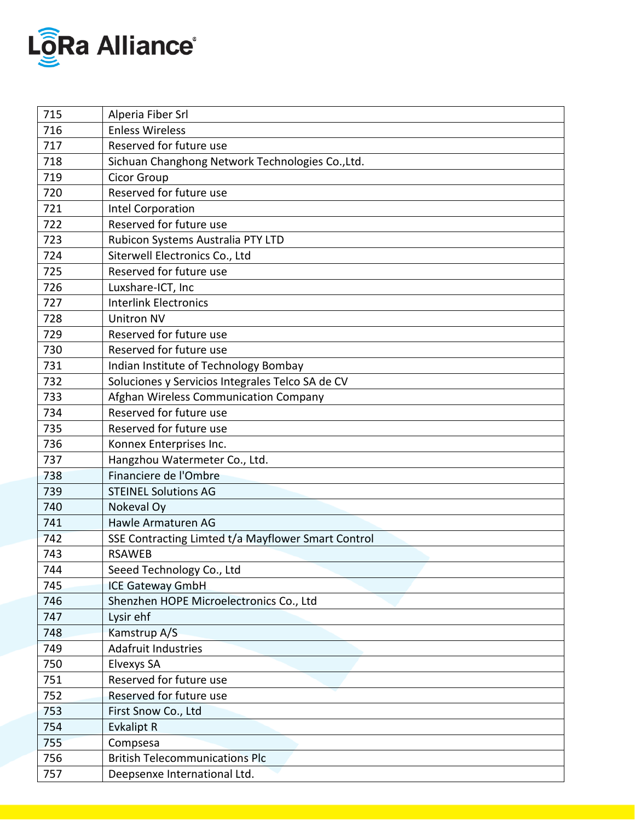

| 715 | Alperia Fiber Srl                                  |
|-----|----------------------------------------------------|
| 716 | <b>Enless Wireless</b>                             |
| 717 | Reserved for future use                            |
| 718 | Sichuan Changhong Network Technologies Co., Ltd.   |
| 719 | <b>Cicor Group</b>                                 |
| 720 | Reserved for future use                            |
| 721 | Intel Corporation                                  |
| 722 | Reserved for future use                            |
| 723 | Rubicon Systems Australia PTY LTD                  |
| 724 | Siterwell Electronics Co., Ltd                     |
| 725 | Reserved for future use                            |
| 726 | Luxshare-ICT, Inc                                  |
| 727 | <b>Interlink Electronics</b>                       |
| 728 | <b>Unitron NV</b>                                  |
| 729 | Reserved for future use                            |
| 730 | Reserved for future use                            |
| 731 | Indian Institute of Technology Bombay              |
| 732 | Soluciones y Servicios Integrales Telco SA de CV   |
| 733 | Afghan Wireless Communication Company              |
| 734 | Reserved for future use                            |
| 735 | Reserved for future use                            |
| 736 | Konnex Enterprises Inc.                            |
| 737 | Hangzhou Watermeter Co., Ltd.                      |
| 738 | Financiere de l'Ombre                              |
| 739 | <b>STEINEL Solutions AG</b>                        |
| 740 | Nokeval Oy                                         |
| 741 | Hawle Armaturen AG                                 |
| 742 | SSE Contracting Limted t/a Mayflower Smart Control |
| 743 | <b>RSAWEB</b>                                      |
| 744 | Seeed Technology Co., Ltd                          |
| 745 | <b>ICE Gateway GmbH</b>                            |
| 746 | Shenzhen HOPE Microelectronics Co., Ltd            |
| 747 | Lysir ehf                                          |
| 748 | Kamstrup A/S                                       |
| 749 | Adafruit Industries                                |
| 750 | Elvexys SA                                         |
| 751 | Reserved for future use                            |
| 752 | Reserved for future use                            |
| 753 | First Snow Co., Ltd                                |
| 754 | <b>Evkalipt R</b>                                  |
| 755 | Compsesa                                           |
| 756 | <b>British Telecommunications Plc</b>              |
| 757 | Deepsenxe International Ltd.                       |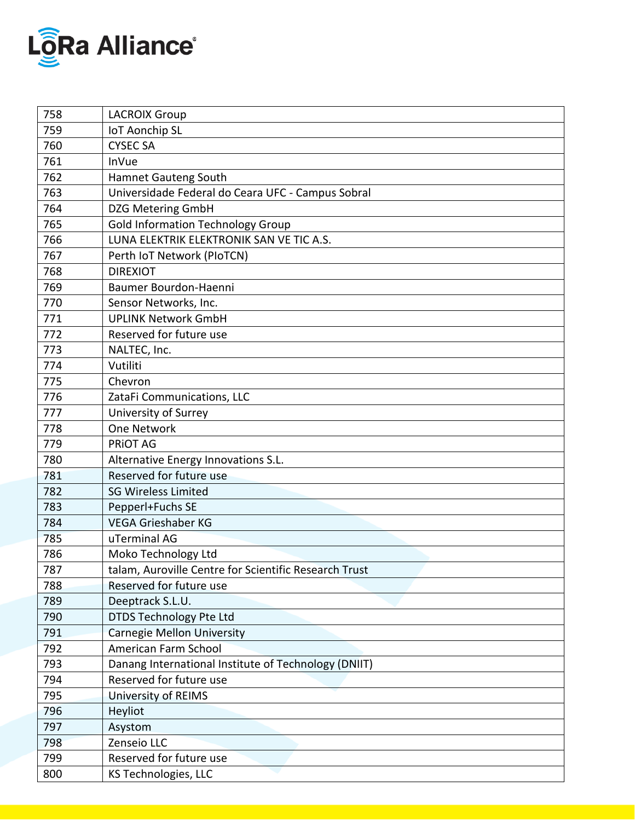

| 758 | <b>LACROIX Group</b>                                  |
|-----|-------------------------------------------------------|
| 759 | <b>IoT Aonchip SL</b>                                 |
| 760 | <b>CYSEC SA</b>                                       |
| 761 | InVue                                                 |
| 762 | Hamnet Gauteng South                                  |
| 763 | Universidade Federal do Ceara UFC - Campus Sobral     |
| 764 | <b>DZG Metering GmbH</b>                              |
| 765 | <b>Gold Information Technology Group</b>              |
| 766 | LUNA ELEKTRIK ELEKTRONIK SAN VE TIC A.S.              |
| 767 | Perth IoT Network (PIoTCN)                            |
| 768 | <b>DIREXIOT</b>                                       |
| 769 | Baumer Bourdon-Haenni                                 |
| 770 | Sensor Networks, Inc.                                 |
| 771 | <b>UPLINK Network GmbH</b>                            |
| 772 | Reserved for future use                               |
| 773 | NALTEC, Inc.                                          |
| 774 | Vutiliti                                              |
| 775 | Chevron                                               |
| 776 | ZataFi Communications, LLC                            |
| 777 | University of Surrey                                  |
| 778 | <b>One Network</b>                                    |
| 779 | PRIOT AG                                              |
| 780 | Alternative Energy Innovations S.L.                   |
| 781 | Reserved for future use                               |
| 782 | <b>SG Wireless Limited</b>                            |
| 783 | Pepperl+Fuchs SE                                      |
| 784 | <b>VEGA Grieshaber KG</b>                             |
| 785 | uTerminal AG                                          |
| 786 | Moko Technology Ltd                                   |
| 787 | talam, Auroville Centre for Scientific Research Trust |
| 788 | Reserved for future use                               |
| 789 | Deeptrack S.L.U.                                      |
| 790 | <b>DTDS Technology Pte Ltd</b>                        |
| 791 | <b>Carnegie Mellon University</b>                     |
| 792 | American Farm School                                  |
| 793 | Danang International Institute of Technology (DNIIT)  |
| 794 | Reserved for future use                               |
| 795 | University of REIMS                                   |
| 796 | Heyliot                                               |
| 797 | Asystom                                               |
| 798 | Zenseio LLC                                           |
| 799 | Reserved for future use                               |
| 800 | KS Technologies, LLC                                  |